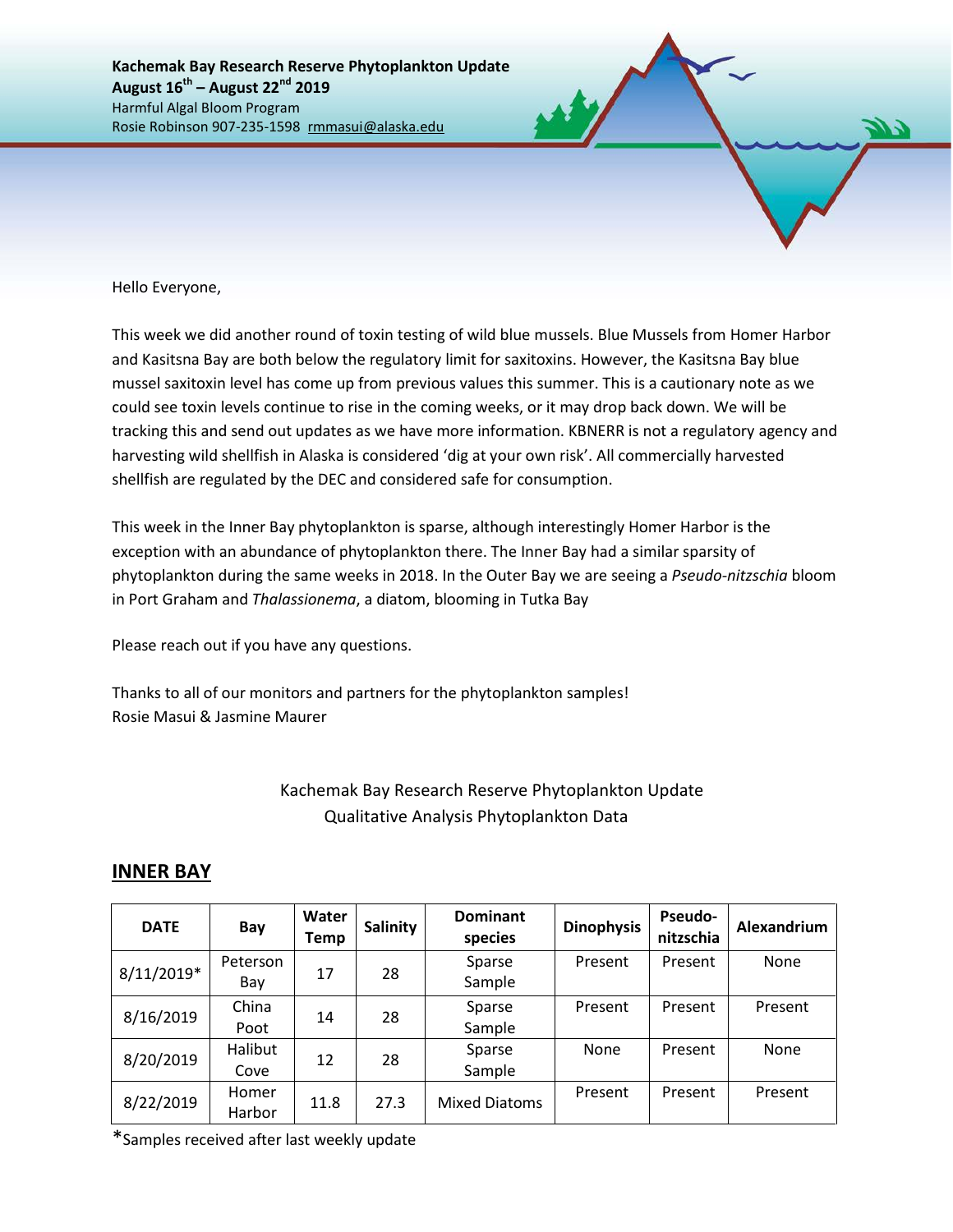Hello Everyone,

This week we did another round of toxin testing of wild blue mussels. Blue Mussels from Homer Harbor and Kasitsna Bay are both below the regulatory limit for saxitoxins. However, the Kasitsna Bay blue mussel saxitoxin level has come up from previous values this summer. This is a cautionary note as we could see toxin levels continue to rise in the coming weeks, or it may drop back down. We will be tracking this and send out updates as we have more information. KBNERR is not a regulatory agency and harvesting wild shellfish in Alaska is considered 'dig at your own risk'. All commercially harvested shellfish are regulated by the DEC and considered safe for consumption.

This week in the Inner Bay phytoplankton is sparse, although interestingly Homer Harbor is the exception with an abundance of phytoplankton there. The Inner Bay had a similar sparsity of phytoplankton during the same weeks in 2018. In the Outer Bay we are seeing a *Pseudo-nitzschia* bloom in Port Graham and *Thalassionema*, a diatom, blooming in Tutka Bay

Please reach out if you have any questions.

Thanks to all of our monitors and partners for the phytoplankton samples! Rosie Masui & Jasmine Maurer

## Kachemak Bay Research Reserve Phytoplankton Update Qualitative Analysis Phytoplankton Data

|  |  | <b>INNER BAY</b> |  |
|--|--|------------------|--|
|  |  |                  |  |

| <b>DATE</b>  | Bay             | Water<br>Temp | <b>Salinity</b> | <b>Dominant</b><br>species | <b>Dinophysis</b> | <b>Pseudo-</b><br>nitzschia | Alexandrium |  |
|--------------|-----------------|---------------|-----------------|----------------------------|-------------------|-----------------------------|-------------|--|
| $8/11/2019*$ | Peterson<br>Bay | 17            | 28              | Sparse<br>Sample           | Present           | Present                     | None        |  |
| 8/16/2019    | China<br>Poot   | 28<br>14      |                 | Sparse<br>Sample           | Present           | Present                     | Present     |  |
| 8/20/2019    | Halibut<br>Cove | 12            | 28              | Sparse<br>Sample           | <b>None</b>       | Present                     | None        |  |
| 8/22/2019    | Homer<br>Harbor | 11.8          | 27.3            | <b>Mixed Diatoms</b>       | Present           | Present                     | Present     |  |

\*Samples received after last weekly update